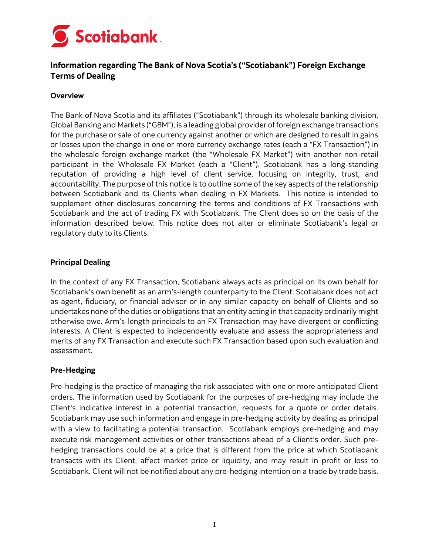

# **Information regarding The Bank of Nova Scotia's ("Scotiabank") Foreign Exchange Terms of Dealing**

#### **Overview**

The Bank of Nova Scotia and its affiliates ("Scotiabank") through its wholesale banking division, Global Banking and Markets ("GBM"), is a leading global provider of foreign exchange transactions for the purchase or sale of one currency against another or which are designed to result in gains or losses upon the change in one or more currency exchange rates (each a "FX Transaction") in the wholesale foreign exchange market (the "Wholesale FX Market") with another non-retail participant in the Wholesale FX Market (each a "Client"). Scotiabank has a long-standing reputation of providing a high level of client service, focusing on integrity, trust, and accountability. The purpose of this notice is to outline some of the key aspects of the relationship between Scotiabank and its Clients when dealing in FX Markets. This notice is intended to supplement other disclosures concerning the terms and conditions of FX Transactions with Scotiabank and the act of trading FX with Scotiabank. The Client does so on the basis of the information described below. This notice does not alter or eliminate Scotiabank's legal or regulatory duty to its Clients.

#### **Principal Dealing**

In the context of any FX Transaction, Scotiabank always acts as principal on its own behalf for Scotiabank's own benefit as an arm's-length counterparty to the Client. Scotiabank does not act as agent, fiduciary, or financial advisor or in any similar capacity on behalf of Clients and so undertakes none of the duties or obligations that an entity acting in that capacity ordinarily might otherwise owe. Arm's-length principals to an FX Transaction may have divergent or conflicting interests. A Client is expected to independently evaluate and assess the appropriateness and merits of any FX Transaction and execute such FX Transaction based upon such evaluation and assessment.

#### **Pre-Hedging**

Pre-hedging is the practice of managing the risk associated with one or more anticipated Client orders. The information used by Scotiabank for the purposes of pre-hedging may include the Client's indicative interest in a potential transaction, requests for a quote or order details. Scotiabank may use such information and engage in pre-hedging activity by dealing as principal with a view to facilitating a potential transaction. Scotiabank employs pre-hedging and may execute risk management activities or other transactions ahead of a Client's order. Such prehedging transactions could be at a price that is different from the price at which Scotiabank transacts with its Client, affect market price or liquidity, and may result in profit or loss to Scotiabank. Client will not be notified about any pre-hedging intention on a trade by trade basis.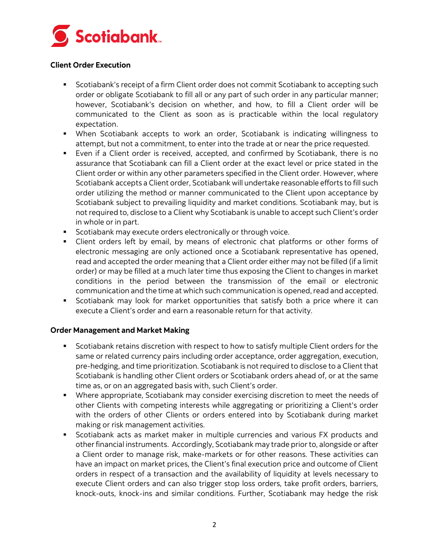

# **Client Order Execution**

- **•** Scotiabank's receipt of a firm Client order does not commit Scotiabank to accepting such order or obligate Scotiabank to fill all or any part of such order in any particular manner; however, Scotiabank's decision on whether, and how, to fill a Client order will be communicated to the Client as soon as is practicable within the local regulatory expectation.
- When Scotiabank accepts to work an order, Scotiabank is indicating willingness to attempt, but not a commitment, to enter into the trade at or near the price requested.
- Even if a Client order is received, accepted, and confirmed by Scotiabank, there is no assurance that Scotiabank can fill a Client order at the exact level or price stated in the Client order or within any other parameters specified in the Client order. However, where Scotiabank accepts a Client order, Scotiabank will undertake reasonable efforts to fill such order utilizing the method or manner communicated to the Client upon acceptance by Scotiabank subject to prevailing liquidity and market conditions. Scotiabank may, but is not required to, disclose to a Client why Scotiabank is unable to accept such Client's order in whole or in part.
- **EXECT** Scotiabank may execute orders electronically or through voice.
- Client orders left by email, by means of electronic chat platforms or other forms of electronic messaging are only actioned once a Scotiabank representative has opened, read and accepted the order meaning that a Client order either may not be filled (if a limit order) or may be filled at a much later time thus exposing the Client to changes in market conditions in the period between the transmission of the email or electronic communication and the time at which such communication is opened, read and accepted.
- Scotiabank may look for market opportunities that satisfy both a price where it can execute a Client's order and earn a reasonable return for that activity.

#### **Order Management and Market Making**

- Scotiabank retains discretion with respect to how to satisfy multiple Client orders for the same or related currency pairs including order acceptance, order aggregation, execution, pre-hedging, and time prioritization. Scotiabank is not required to disclose to a Client that Scotiabank is handling other Client orders or Scotiabank orders ahead of, or at the same time as, or on an aggregated basis with, such Client's order.
- **•** Where appropriate, Scotiabank may consider exercising discretion to meet the needs of other Clients with competing interests while aggregating or prioritizing a Client's order with the orders of other Clients or orders entered into by Scotiabank during market making or risk management activities.
- Scotiabank acts as market maker in multiple currencies and various FX products and other financial instruments. Accordingly, Scotiabank may trade prior to, alongside or after a Client order to manage risk, make-markets or for other reasons. These activities can have an impact on market prices, the Client's final execution price and outcome of Client orders in respect of a transaction and the availability of liquidity at levels necessary to execute Client orders and can also trigger stop loss orders, take profit orders, barriers, knock-outs, knock-ins and similar conditions. Further, Scotiabank may hedge the risk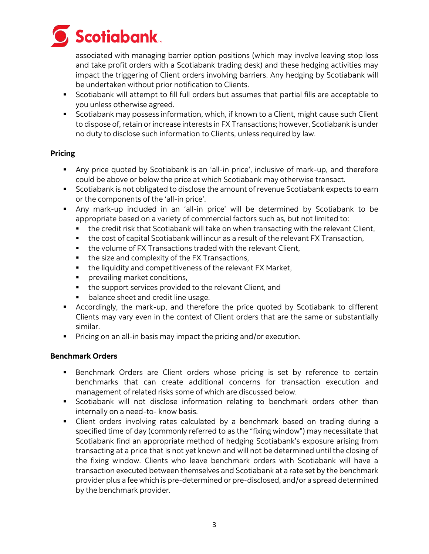

associated with managing barrier option positions (which may involve leaving stop loss and take profit orders with a Scotiabank trading desk) and these hedging activities may impact the triggering of Client orders involving barriers. Any hedging by Scotiabank will be undertaken without prior notification to Clients.

- Scotiabank will attempt to fill full orders but assumes that partial fills are acceptable to you unless otherwise agreed.
- **•** Scotiabank may possess information, which, if known to a Client, might cause such Client to dispose of, retain or increase interests in FX Transactions; however, Scotiabank is under no duty to disclose such information to Clients, unless required by law.

# **Pricing**

- Any price quoted by Scotiabank is an 'all-in price', inclusive of mark-up, and therefore could be above or below the price at which Scotiabank may otherwise transact.
- Scotiabank is not obligated to disclose the amount of revenue Scotiabank expects to earn or the components of the 'all-in price'.
- Any mark-up included in an 'all-in price' will be determined by Scotiabank to be appropriate based on a variety of commercial factors such as, but not limited to:
	- **•** the credit risk that Scotiabank will take on when transacting with the relevant Client,
	- **•** the cost of capital Scotiabank will incur as a result of the relevant FX Transaction,
	- the volume of FX Transactions traded with the relevant Client,
	- the size and complexity of the FX Transactions,
	- the liquidity and competitiveness of the relevant FX Market,
	- **•** prevailing market conditions,
	- the support services provided to the relevant Client, and
	- balance sheet and credit line usage.
- **EX** Accordingly, the mark-up, and therefore the price quoted by Scotiabank to different Clients may vary even in the context of Client orders that are the same or substantially similar.
- **•** Pricing on an all-in basis may impact the pricing and/or execution.

# **Benchmark Orders**

- **•** Benchmark Orders are Client orders whose pricing is set by reference to certain benchmarks that can create additional concerns for transaction execution and management of related risks some of which are discussed below.
- Scotiabank will not disclose information relating to benchmark orders other than internally on a need-to- know basis.
- Client orders involving rates calculated by a benchmark based on trading during a specified time of day (commonly referred to as the "fixing window") may necessitate that Scotiabank find an appropriate method of hedging Scotiabank's exposure arising from transacting at a price that is not yet known and will not be determined until the closing of the fixing window. Clients who leave benchmark orders with Scotiabank will have a transaction executed between themselves and Scotiabank at a rate set by the benchmark provider plus a fee which is pre-determined or pre-disclosed, and/or a spread determined by the benchmark provider.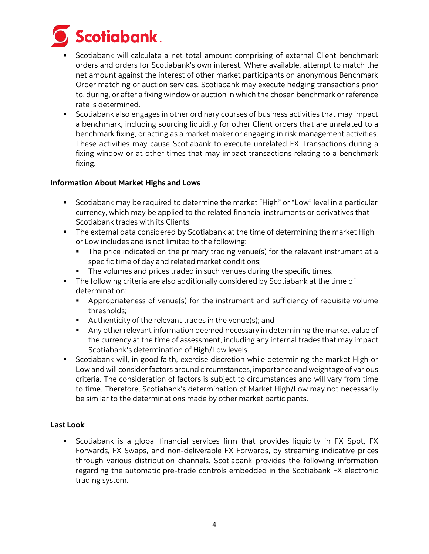

- Scotiabank will calculate a net total amount comprising of external Client benchmark orders and orders for Scotiabank's own interest. Where available, attempt to match the net amount against the interest of other market participants on anonymous Benchmark Order matching or auction services. Scotiabank may execute hedging transactions prior to, during, or after a fixing window or auction in which the chosen benchmark or reference rate is determined.
- Scotiabank also engages in other ordinary courses of business activities that may impact a benchmark, including sourcing liquidity for other Client orders that are unrelated to a benchmark fixing, or acting as a market maker or engaging in risk management activities. These activities may cause Scotiabank to execute unrelated FX Transactions during a fixing window or at other times that may impact transactions relating to a benchmark fixing.

# **Information About Market Highs and Lows**

- Scotiabank may be required to determine the market "High" or "Low" level in a particular currency, which may be applied to the related financial instruments or derivatives that Scotiabank trades with its Clients.
- **•** The external data considered by Scotiabank at the time of determining the market High or Low includes and is not limited to the following:
	- The price indicated on the primary trading venue(s) for the relevant instrument at a specific time of day and related market conditions;
	- The volumes and prices traded in such venues during the specific times.
- **•** The following criteria are also additionally considered by Scotiabank at the time of determination:
	- Appropriateness of venue(s) for the instrument and sufficiency of requisite volume thresholds;
	- Authenticity of the relevant trades in the venue(s); and
	- **•** Any other relevant information deemed necessary in determining the market value of the currency at the time of assessment, including any internal trades that may impact Scotiabank's determination of High/Low levels.
- Scotiabank will, in good faith, exercise discretion while determining the market High or Low and will consider factors around circumstances, importance and weightage of various criteria. The consideration of factors is subject to circumstances and will vary from time to time. Therefore, Scotiabank's determination of Market High/Low may not necessarily be similar to the determinations made by other market participants.

#### **Last Look**

**EX** Scotiabank is a global financial services firm that provides liquidity in FX Spot, FX Forwards, FX Swaps, and non-deliverable FX Forwards, by streaming indicative prices through various distribution channels. Scotiabank provides the following information regarding the automatic pre-trade controls embedded in the Scotiabank FX electronic trading system.